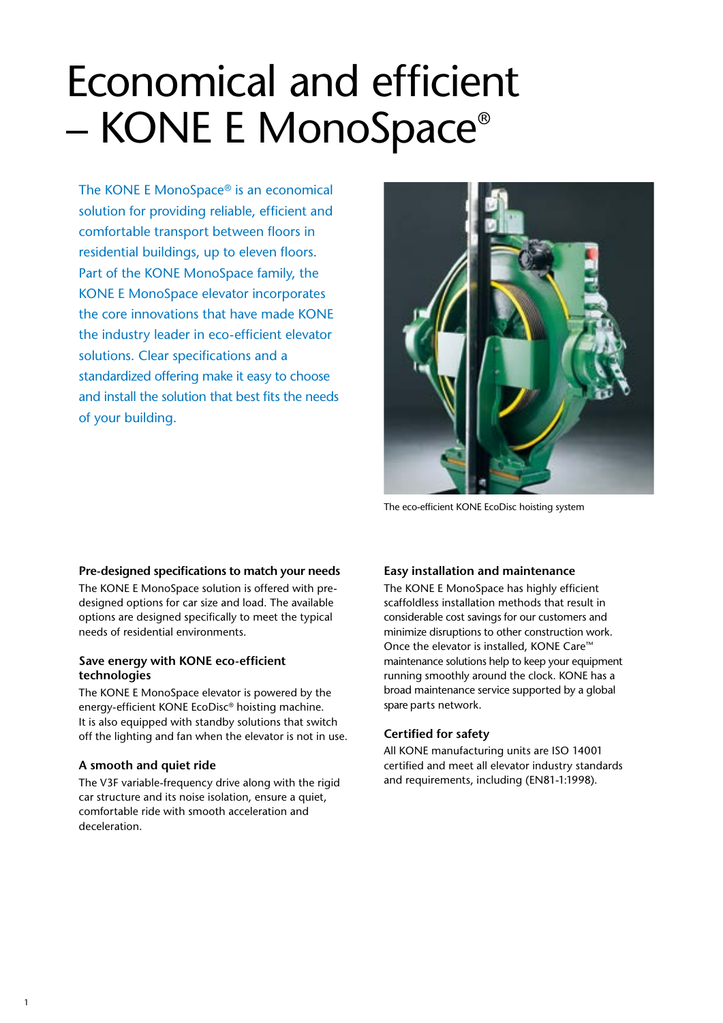# Economical and efficient – KONE E MonoSpace®

The KONE E MonoSpace® is an economical solution for providing reliable, efficient and comfortable transport between floors in residential buildings, up to eleven floors. Part of the KONE MonoSpace family, the KONE E MonoSpace elevator incorporates the core innovations that have made KONE the industry leader in eco-efficient elevator solutions. Clear specifications and a standardized offering make it easy to choose and install the solution that best fits the needs of your building.



The eco-efficient KONE EcoDisc hoisting system

#### **Pre-designed specifications to match your needs**

The KONE E MonoSpace solution is offered with predesigned options for car size and load. The available options are designed specifically to meet the typical needs of residential environments.

#### **Save energy with KONE eco-efficient technologies**

The KONE E MonoSpace elevator is powered by the energy-efficient KONE EcoDisc® hoisting machine. It is also equipped with standby solutions that switch off the lighting and fan when the elevator is not in use.

#### **A smooth and quiet ride**

The V3F variable-frequency drive along with the rigid car structure and its noise isolation, ensure a quiet, comfortable ride with smooth acceleration and deceleration.

#### **Easy installation and maintenance**

The KONE E MonoSpace has highly efficient scaffoldless installation methods that result in considerable cost savings for our customers and minimize disruptions to other construction work. Once the elevator is installed, KONE Care™ maintenance solutions help to keep your equipment running smoothly around the clock. KONE has a broad maintenance service supported by a global spare parts network.

#### **Certified for safety**

All KONE manufacturing units are ISO 14001 certified and meet all elevator industry standards and requirements, including (EN81-1:1998).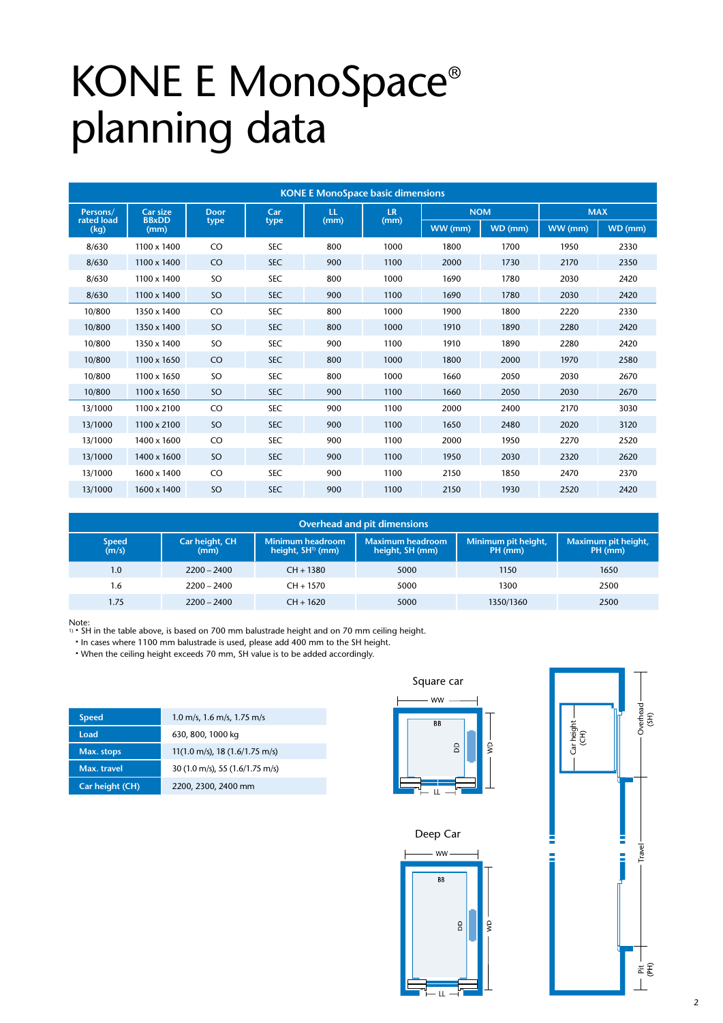# KONE E MonoSpace® planning data

| <b>KONE E MonoSpace basic dimensions</b> |                      |               |            |      |                   |            |         |            |         |
|------------------------------------------|----------------------|---------------|------------|------|-------------------|------------|---------|------------|---------|
| Persons/                                 | <b>Car size</b>      | <b>Door</b>   | Car        | LL.  | <b>LR</b><br>(mm) | <b>NOM</b> |         | <b>MAX</b> |         |
| rated load<br>(kg)                       | <b>BBxDD</b><br>(mm) | type          | type       | (mm) |                   | WW (mm)    | WD (mm) | WW (mm)    | WD (mm) |
| 8/630                                    | 1100 x 1400          | CO            | <b>SEC</b> | 800  | 1000              | 1800       | 1700    | 1950       | 2330    |
| 8/630                                    | 1100 x 1400          | CO            | <b>SEC</b> | 900  | 1100              | 2000       | 1730    | 2170       | 2350    |
| 8/630                                    | 1100 x 1400          | SO            | <b>SEC</b> | 800  | 1000              | 1690       | 1780    | 2030       | 2420    |
| 8/630                                    | 1100 x 1400          | SO            | <b>SEC</b> | 900  | 1100              | 1690       | 1780    | 2030       | 2420    |
| 10/800                                   | 1350 x 1400          | CO            | <b>SEC</b> | 800  | 1000              | 1900       | 1800    | 2220       | 2330    |
| 10/800                                   | 1350 x 1400          | SO            | <b>SEC</b> | 800  | 1000              | 1910       | 1890    | 2280       | 2420    |
| 10/800                                   | 1350 x 1400          | <sub>SO</sub> | <b>SEC</b> | 900  | 1100              | 1910       | 1890    | 2280       | 2420    |
| 10/800                                   | 1100 x 1650          | CO            | <b>SEC</b> | 800  | 1000              | 1800       | 2000    | 1970       | 2580    |
| 10/800                                   | 1100 x 1650          | SO            | <b>SEC</b> | 800  | 1000              | 1660       | 2050    | 2030       | 2670    |
| 10/800                                   | 1100 x 1650          | SO            | <b>SEC</b> | 900  | 1100              | 1660       | 2050    | 2030       | 2670    |
| 13/1000                                  | 1100 x 2100          | CO            | <b>SEC</b> | 900  | 1100              | 2000       | 2400    | 2170       | 3030    |
| 13/1000                                  | $1100 \times 2100$   | SO            | <b>SEC</b> | 900  | 1100              | 1650       | 2480    | 2020       | 3120    |
| 13/1000                                  | 1400 x 1600          | CO            | <b>SEC</b> | 900  | 1100              | 2000       | 1950    | 2270       | 2520    |
| 13/1000                                  | 1400 x 1600          | <sub>SO</sub> | <b>SEC</b> | 900  | 1100              | 1950       | 2030    | 2320       | 2620    |
| 13/1000                                  | 1600 x 1400          | CO            | <b>SEC</b> | 900  | 1100              | 2150       | 1850    | 2470       | 2370    |
| 13/1000                                  | 1600 x 1400          | SO            | <b>SEC</b> | 900  | 1100              | 2150       | 1930    | 2520       | 2420    |

| <b>Overhead and pit dimensions</b> |                        |                                                              |                                            |                                |                                |  |
|------------------------------------|------------------------|--------------------------------------------------------------|--------------------------------------------|--------------------------------|--------------------------------|--|
| <b>Speed</b><br>(m/s)              | Car height, CH<br>(mm) | <b>Minimum headroom</b><br>$\,$ height, SH $\,$ 1) (mm) $\,$ | <b>Maximum headroom</b><br>height, SH (mm) | Minimum pit height,<br>PH (mm) | Maximum pit height,<br>PH (mm) |  |
| 1.0                                | $2200 - 2400$          | $CH + 1380$                                                  | 5000                                       | 1150                           | 1650                           |  |
| 1.6                                | $2200 - 2400$          | $CH + 1570$                                                  | 5000                                       | 1300                           | 2500                           |  |
| 1.75                               | $2200 - 2400$          | $CH + 1620$                                                  | 5000                                       | 1350/1360                      | 2500                           |  |

Note:<br>1) • SH in the table above, is based on 700 mm balustrade height and on 70 mm ceiling height.

n In cases where 1100 mm balustrade is used, please add 400 mm to the SH height.

• When the ceiling height exceeds 70 mm, SH value is to be added accordingly.

| <b>Speed</b>    | 1.0 m/s, 1.6 m/s, 1.75 m/s                          |
|-----------------|-----------------------------------------------------|
| Load            | 630, 800, 1000 kg                                   |
| Max. stops      | 11(1.0 m/s), 18 (1.6/1.75 m/s)                      |
| Max. travel     | $30(1.0 \text{ m/s})$ , 55 $(1.6/1.75 \text{ m/s})$ |
| Car height (CH) | 2200, 2300, 2400 mm                                 |



#### Deep car Deep Car Deep car



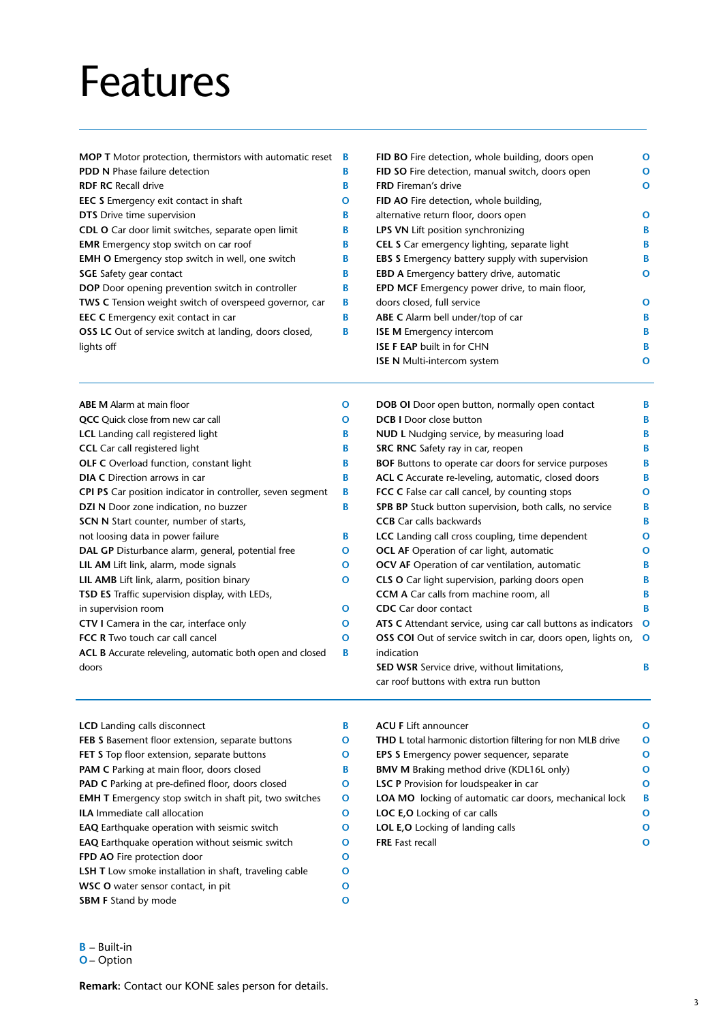### Features

| <b>MOP T</b> Motor protection, thermistors with automatic reset <b>B</b> |   | FID BO Fire detection, whole building, doors open      |
|--------------------------------------------------------------------------|---|--------------------------------------------------------|
| PDD N Phase failure detection                                            | В | FID SO Fire detection, manual switch, doors open       |
| <b>RDF RC Recall drive</b>                                               | В | <b>FRD</b> Fireman's drive                             |
| <b>EEC S</b> Emergency exit contact in shaft                             | O | FID AO Fire detection, whole building,                 |
| DTS Drive time supervision                                               | В | alternative return floor, doors open                   |
| CDL O Car door limit switches, separate open limit                       | В | <b>LPS VN Lift position synchronizing</b>              |
| <b>EMR</b> Emergency stop switch on car roof                             | В | <b>CEL S</b> Car emergency lighting, separate light    |
| <b>EMH O</b> Emergency stop switch in well, one switch                   | В | <b>EBS S</b> Emergency battery supply with supervision |
| <b>SGE</b> Safety gear contact                                           | В | <b>EBD A Emergency battery drive, automatic</b>        |
| <b>DOP</b> Door opening prevention switch in controller                  | В | <b>EPD MCF</b> Emergency power drive, to main floor,   |
| TWS C Tension weight switch of overspeed governor, car                   | В | doors closed, full service                             |
| <b>EEC C</b> Emergency exit contact in car                               | В | ABE C Alarm bell under/top of car                      |
| OSS LC Out of service switch at landing, doors closed,                   | В | <b>ISE M</b> Emergency intercom                        |
| lights off                                                               |   | <b>ISE F EAP built in for CHN</b>                      |
|                                                                          |   | <b>ISE N</b> Multi-intercom system                     |

| $\mathbf{o}$ | <b>DOB OI</b> Door open button, normally open contact        | В                                                                                                                                    |
|--------------|--------------------------------------------------------------|--------------------------------------------------------------------------------------------------------------------------------------|
| O            | <b>DCB I</b> Door close button                               | В                                                                                                                                    |
| В            | NUD L Nudging service, by measuring load                     | В                                                                                                                                    |
| В            | SRC RNC Safety ray in car, reopen                            | В                                                                                                                                    |
| В            | <b>BOF</b> Buttons to operate car doors for service purposes | в                                                                                                                                    |
| B            | ACL C Accurate re-leveling, automatic, closed doors          | В                                                                                                                                    |
| В            | <b>FCC C</b> False car call cancel, by counting stops        | O                                                                                                                                    |
| В            | SPB BP Stuck button supervision, both calls, no service      | B                                                                                                                                    |
|              | <b>CCB</b> Car calls backwards                               | B                                                                                                                                    |
| B            | <b>LCC</b> Landing call cross coupling, time dependent       | O                                                                                                                                    |
| O            | <b>OCL AF</b> Operation of car light, automatic              | O                                                                                                                                    |
| O            | <b>OCV AF</b> Operation of car ventilation, automatic        | В                                                                                                                                    |
| $\mathbf{o}$ | CLS O Car light supervision, parking doors open              | В                                                                                                                                    |
|              | <b>CCM A</b> Car calls from machine room, all                |                                                                                                                                      |
| $\mathbf{o}$ | <b>CDC</b> Car door contact                                  | В                                                                                                                                    |
| $\mathbf{o}$ |                                                              | O                                                                                                                                    |
| $\mathbf{o}$ |                                                              | O                                                                                                                                    |
| B            | indication                                                   |                                                                                                                                      |
|              | <b>SED WSR</b> Service drive, without limitations,           | В                                                                                                                                    |
|              | car roof buttons with extra run button                       |                                                                                                                                      |
|              |                                                              | ATS C Attendant service, using car call buttons as indicators<br><b>OSS COI</b> Out of service switch in car, doors open, lights on, |

| <b>LCD</b> Landing calls disconnect                           | В |  |  |  |
|---------------------------------------------------------------|---|--|--|--|
| <b>FEB S</b> Basement floor extension, separate buttons       | О |  |  |  |
| FET S Top floor extension, separate buttons                   |   |  |  |  |
| <b>PAM C</b> Parking at main floor, doors closed              | В |  |  |  |
| <b>PAD C</b> Parking at pre-defined floor, doors closed       | О |  |  |  |
| <b>EMH T</b> Emergency stop switch in shaft pit, two switches | O |  |  |  |
| <b>ILA Immediate call allocation</b>                          | O |  |  |  |
| <b>EAQ</b> Earthquake operation with seismic switch           |   |  |  |  |
| <b>EAQ</b> Earthquake operation without seismic switch        | О |  |  |  |
| FPD AO Fire protection door                                   | O |  |  |  |
| <b>LSH T</b> Low smoke installation in shaft, traveling cable | О |  |  |  |
| <b>WSC O</b> water sensor contact, in pit                     | O |  |  |  |
| <b>SBM F Stand by mode</b>                                    | O |  |  |  |
|                                                               |   |  |  |  |

| <b>ACU F Lift announcer</b>                                        | റ |
|--------------------------------------------------------------------|---|
| <b>THD L</b> total harmonic distortion filtering for non MLB drive | Ω |
| <b>EPS S</b> Emergency power sequencer, separate                   | Ω |
| <b>BMV M Braking method drive (KDL16L only)</b>                    | Ω |
| <b>LSC P</b> Provision for loudspeaker in car                      | Ω |
| <b>LOA MO</b> locking of automatic car doors, mechanical lock      | В |
| <b>LOC E, O</b> Locking of car calls                               | Ω |
| <b>LOL E, O</b> Locking of landing calls                           | റ |
| <b>FRE</b> Fast recall                                             | ი |
|                                                                    |   |

**B** – Built-in

**O O O**

**O B B B O**

**O B B B O**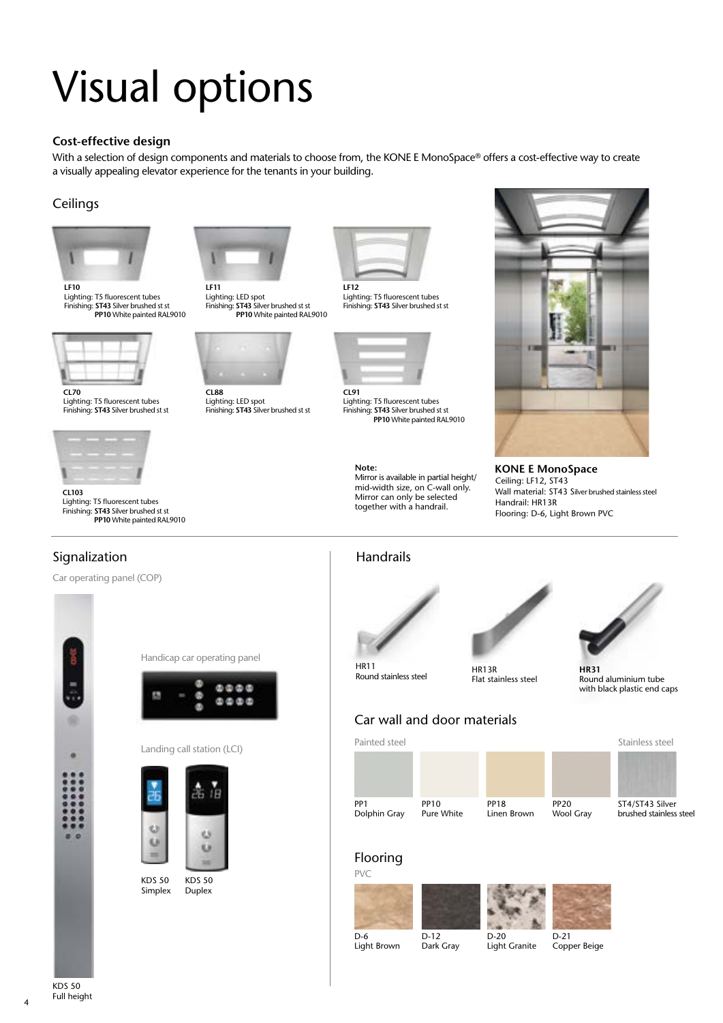# Visual options

#### **Cost-effective design**

With a selection of design components and materials to choose from, the KONE E MonoSpace® offers a cost-effective way to create a visually appealing elevator experience for the tenants in your building.

### **Ceilings**



Lighting: T5 fluorescent tubes Finishing: **ST43** Silver brushed st st **PP10** White painted RAL9010



**CL70** Lighting: T5 fluorescent tubes Finishing: **ST43** Silver brushed st st



**CL103** Lighting: T5 fluorescent tubes Finishing: **ST43** Silver brushed st st **PP10** White painted RAL9010

Car operating panel (COP)

Signalization



**LF11** Lighting: LED spot Finishing: **ST43** Silver brushed st st **PP10** White painted RAL9010



Lighting: LED spot Finishing: **ST43** Silver brushed st st



Lighting: T5 fluorescent tubes Finishing: **ST43** Silver brushed st st



**CL91** Lighting: T5 fluorescent tubes Finishing: **ST43** Silver brushed st st **PP10** White painted RAL9010

Mirror is available in partial height/ mid-width size, on C-wall only. Mirror can only be selected together with a handrail.



**KONE E MonoSpace** Ceiling: LF12, ST43 Wall material: ST43 Silver brushed stainless steel Handrail: HR13R Flooring: D-6, Light Brown PVC



**Note:**





HR13R Flat stainless steel Round stainless steel



### Car wall and door materials



### ST4/ST43 Silver brushed stainless steel





 $\overline{D-12}$ 



Light Brown

Dark Gray

D-20 Light Granite

D-21 Copper Beige



KDS 50 Duplex

Landing call station (LCI)

Handicap car operating panel

 $0000$  $0000$ 

KDS 50 Simplex

 $B$ 

4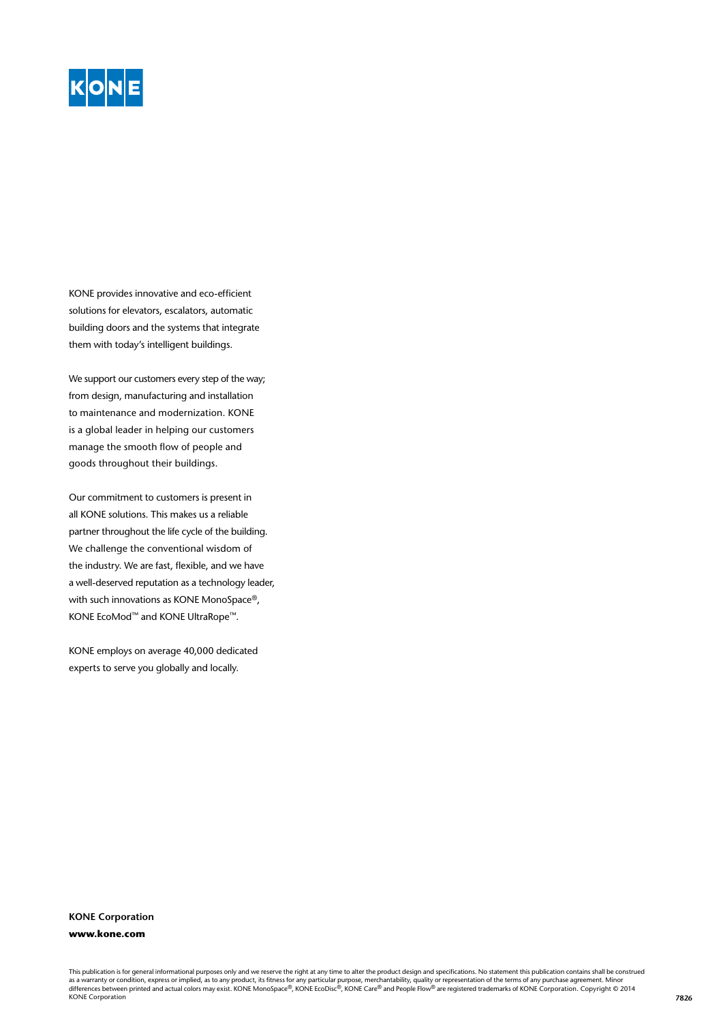

KONE provides innovative and eco-efficient solutions for elevators, escalators, automatic building doors and the systems that integrate them with today's intelligent buildings.

We support our customers every step of the way; from design, manufacturing and installation to maintenance and modernization. KONE is a global leader in helping our customers manage the smooth flow of people and goods throughout their buildings.

Our commitment to customers is present in all KONE solutions. This makes us a reliable partner throughout the life cycle of the building. We challenge the conventional wisdom of the industry. We are fast, flexible, and we have a well-deserved reputation as a technology leader, with such innovations as KONE MonoSpace®, KONE EcoMod™ and KONE UltraRope™.

KONE employs on average 40,000 dedicated experts to serve you globally and locally.

#### **KONE Corporation www.kone.com**

This publication is for general informational purposes only and we reserve the right at any time to alter the product design and specifications. No statement this publication contains shall be construed as a warranty or condition, express or implied, as to any product, its fitness for any particular purpose, merchantability, quality or representation of the terms of any purchase agreement. Minor<br>differences between printe